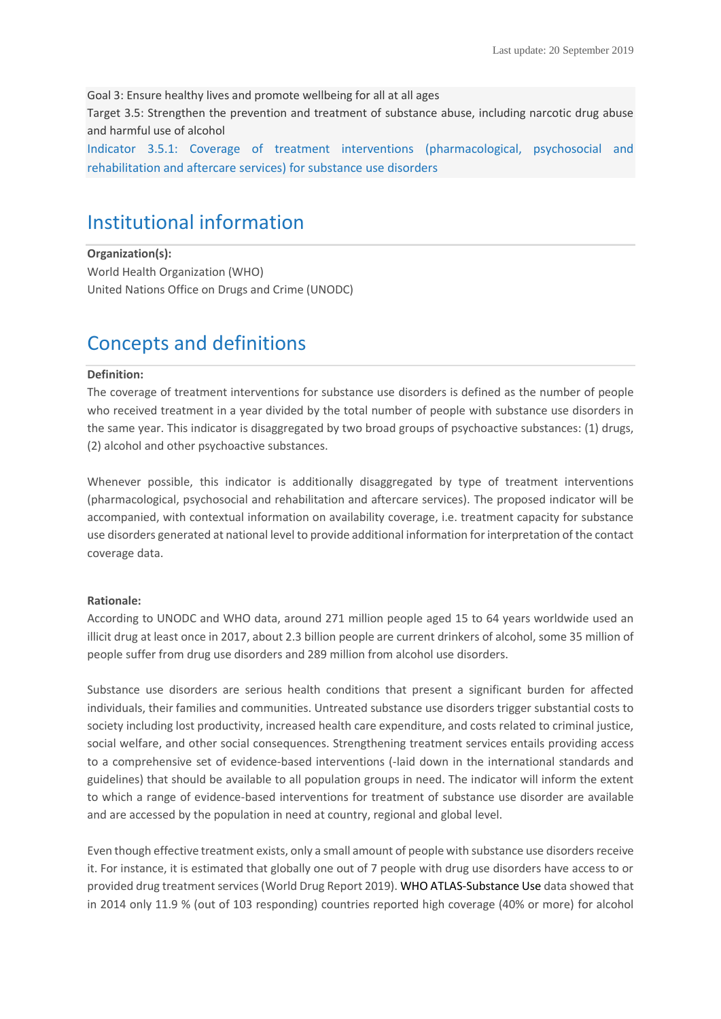Goal 3: Ensure healthy lives and promote wellbeing for all at all ages Target 3.5: Strengthen the prevention and treatment of substance abuse, including narcotic drug abuse and harmful use of alcohol Indicator 3.5.1: Coverage of treatment interventions (pharmacological, psychosocial and

rehabilitation and aftercare services) for substance use disorders

### Institutional information

#### **Organization(s):**

World Health Organization (WHO) United Nations Office on Drugs and Crime (UNODC)

### Concepts and definitions

#### **Definition:**

The coverage of treatment interventions for substance use disorders is defined as the number of people who received treatment in a year divided by the total number of people with substance use disorders in the same year. This indicator is disaggregated by two broad groups of psychoactive substances: (1) drugs, (2) alcohol and other psychoactive substances.

Whenever possible, this indicator is additionally disaggregated by type of treatment interventions (pharmacological, psychosocial and rehabilitation and aftercare services). The proposed indicator will be accompanied, with contextual information on availability coverage, i.e. treatment capacity for substance use disorders generated at national level to provide additional information for interpretation of the contact coverage data.

#### **Rationale:**

According to UNODC and WHO data, around 271 million people aged 15 to 64 years worldwide used an illicit drug at least once in 2017, about 2.3 billion people are current drinkers of alcohol, some 35 million of people suffer from drug use disorders and 289 million from alcohol use disorders.

Substance use disorders are serious health conditions that present a significant burden for affected individuals, their families and communities. Untreated substance use disorders trigger substantial costs to society including lost productivity, increased health care expenditure, and costs related to criminal justice, social welfare, and other social consequences. Strengthening treatment services entails providing access to a comprehensive set of evidence-based interventions (-laid down in the international standards and guidelines) that should be available to all population groups in need. The indicator will inform the extent to which a range of evidence-based interventions for treatment of substance use disorder are available and are accessed by the population in need at country, regional and global level.

Even though effective treatment exists, only a small amount of people with substance use disorders receive it. For instance, it is estimated that globally one out of 7 people with drug use disorders have access to or provided drug treatment services (World Drug Report 2019). [WHO ATLAS-Substance Use](https://www.who.int/gho/substance_abuse/en/) data showed that in 2014 only 11.9 % (out of 103 responding) countries reported high coverage (40% or more) for alcohol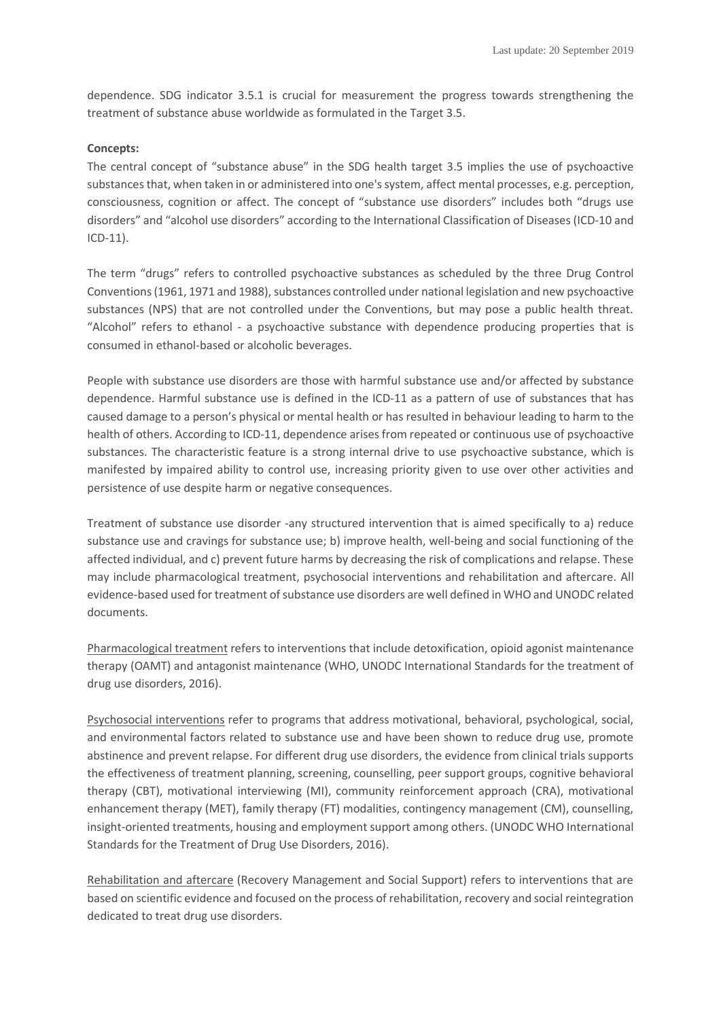dependence. SDG indicator 3.5.1 is crucial for measurement the progress towards strengthening the treatment of substance abuse worldwide as formulated in the Target 3.5.

### **Concepts:**

The central concept of "substance abuse" in the SDG health target 3.5 implies the use of psychoactive substances that, when taken in or administered into one's system, affect mental processes, e.g. perception, consciousness, cognition or affect. The concept of "substance use disorders" includes both "drugs use disorders" and "alcohol use disorders" according to th[e International Classification of Diseases \(ICD-10](https://icd.who.int/browse10/2016/en) and [ICD-11\).](https://icd.who.int/browse10/2016/en)

The term "drugs" refers to controlled psychoactive substances as scheduled by the three [Drug Control](https://www.unodc.org/unodc/en/commissions/CND/conventions.html)  [Conventions \(1961, 1971 and 1988\),](https://www.unodc.org/unodc/en/commissions/CND/conventions.html) substances controlled under national legislation and new psychoactive substances (NPS) that are not controlled under the Conventions, but may pose a public health threat. "Alcohol" refers to ethanol - a psychoactive substance with dependence producing properties that is consumed in ethanol-based or alcoholic beverages.

People with substance use disorders are those with harmful substance use and/or affected by substance dependence. Harmful substance use is defined in the ICD-11 as a pattern of use of substances that has caused damage to a person's physical or mental health or has resulted in behaviour leading to harm to the health of others. According to ICD-11, dependence arises from repeated or continuous use of psychoactive substances. The characteristic feature is a strong internal drive to use psychoactive substance, which is manifested by impaired ability to control use, increasing priority given to use over other activities and persistence of use despite harm or negative consequences.

Treatment of substance use disorder -any structured intervention that is aimed specifically to a) reduce substance use and cravings for substance use; b) improve health, well-being and social functioning of the affected individual, and c) prevent future harms by decreasing the risk of complications and relapse. These may include pharmacological treatment, psychosocial interventions and rehabilitation and aftercare. All evidence-based used for treatment of substance use disorders are well defined in WHO and UNODC related documents.

Pharmacological treatment refers to interventions that include detoxification, opioid agonist maintenance therapy (OAMT) and antagonist maintenance (WHO, UNODC International Standards for the treatment of drug use disorders, 2016).

Psychosocial interventions refer to programs that address motivational, behavioral, psychological, social, and environmental factors related to substance use and have been shown to reduce drug use, promote abstinence and prevent relapse. For different drug use disorders, the evidence from clinical trials supports the effectiveness of treatment planning, screening, counselling, peer support groups, cognitive behavioral therapy (CBT), motivational interviewing (MI), community reinforcement approach (CRA), motivational enhancement therapy (MET), family therapy (FT) modalities, contingency management (CM), counselling, insight-oriented treatments, housing and employment support among others. (UNODC WHO International Standards for the Treatment of Drug Use Disorders, 2016).

Rehabilitation and aftercare (Recovery Management and Social Support) refers to interventions that are based on scientific evidence and focused on the process of rehabilitation, recovery and social reintegration dedicated to treat drug use disorders.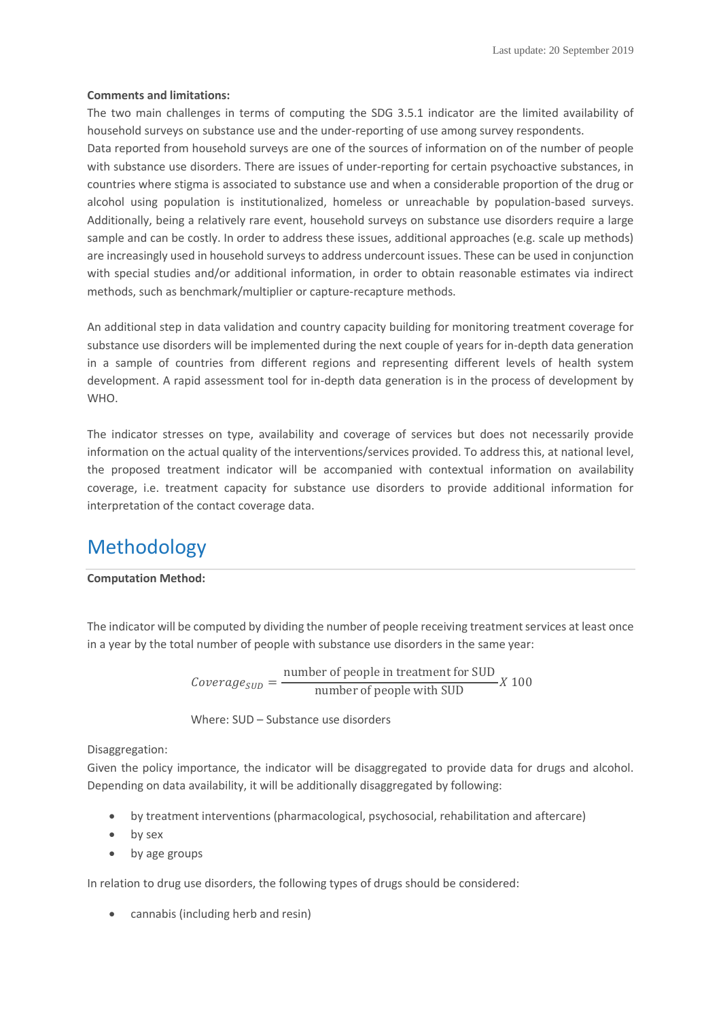#### **Comments and limitations:**

The two main challenges in terms of computing the SDG 3.5.1 indicator are the limited availability of household surveys on substance use and the under-reporting of use among survey respondents. Data reported from household surveys are one of the sources of information on of the number of people with substance use disorders. There are issues of under-reporting for certain psychoactive substances, in countries where stigma is associated to substance use and when a considerable proportion of the drug or alcohol using population is institutionalized, homeless or unreachable by population-based surveys. Additionally, being a relatively rare event, household surveys on substance use disorders require a large sample and can be costly. In order to address these issues, additional approaches (e.g. scale up methods) are increasingly used in household surveys to address undercount issues. These can be used in conjunction with special studies and/or additional information, in order to obtain reasonable estimates via indirect methods, such as benchmark/multiplier or capture-recapture methods.

An additional step in data validation and country capacity building for monitoring treatment coverage for substance use disorders will be implemented during the next couple of years for in-depth data generation in a sample of countries from different regions and representing different levels of health system development. A rapid assessment tool for in-depth data generation is in the process of development by WHO.

The indicator stresses on type, availability and coverage of services but does not necessarily provide information on the actual quality of the interventions/services provided. To address this, at national level, the proposed treatment indicator will be accompanied with contextual information on availability coverage, i.e. treatment capacity for substance use disorders to provide additional information for interpretation of the contact coverage data.

### Methodology

### **Computation Method:**

The indicator will be computed by dividing the number of people receiving treatment services at least once in a year by the total number of people with substance use disorders in the same year:

> $\mathit{Coverage}_{\mathit{SUB}} =$ number of people in treatment for SUD  $\frac{1}{\text{number of people with SUD}}$   $X$  100

Where: SUD – Substance use disorders

Disaggregation:

Given the policy importance, the indicator will be disaggregated to provide data for drugs and alcohol. Depending on data availability, it will be additionally disaggregated by following:

- by treatment interventions (pharmacological, psychosocial, rehabilitation and aftercare)
- by sex
- by age groups

In relation to drug use disorders, the following types of drugs should be considered:

• cannabis (including herb and resin)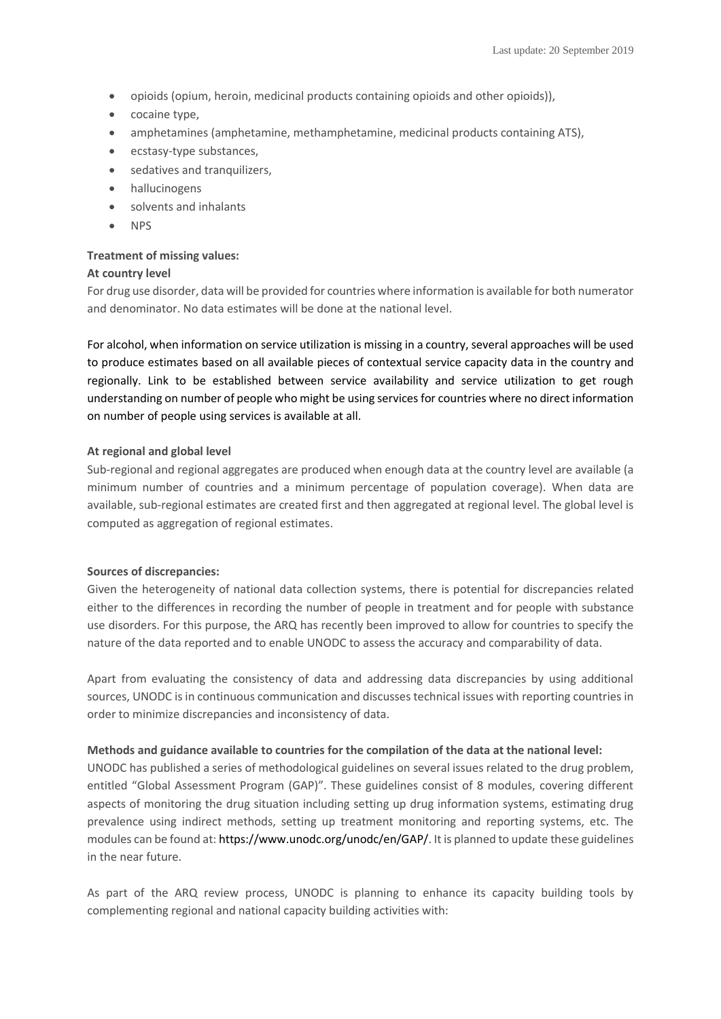- opioids (opium, heroin, medicinal products containing opioids and other opioids)),
- cocaine type,
- amphetamines (amphetamine, methamphetamine, medicinal products containing ATS),
- ecstasy-type substances,
- sedatives and tranquilizers,
- hallucinogens
- solvents and inhalants
- NPS

### **Treatment of missing values:**

### **At country level**

For drug use disorder, data will be provided for countries where information is available for both numerator and denominator. No data estimates will be done at the national level.

For alcohol, when information on service utilization is missing in a country, several approaches will be used to produce estimates based on all available pieces of contextual service capacity data in the country and regionally. Link to be established between service availability and service utilization to get rough understanding on number of people who might be using services for countries where no direct information on number of people using services is available at all.

### **At regional and global level**

Sub-regional and regional aggregates are produced when enough data at the country level are available (a minimum number of countries and a minimum percentage of population coverage). When data are available, sub-regional estimates are created first and then aggregated at regional level. The global level is computed as aggregation of regional estimates.

### **Sources of discrepancies:**

Given the heterogeneity of national data collection systems, there is potential for discrepancies related either to the differences in recording the number of people in treatment and for people with substance use disorders. For this purpose, the ARQ has recently been improved to allow for countries to specify the nature of the data reported and to enable UNODC to assess the accuracy and comparability of data.

Apart from evaluating the consistency of data and addressing data discrepancies by using additional sources, UNODC is in continuous communication and discusses technical issues with reporting countries in order to minimize discrepancies and inconsistency of data.

### **Methods and guidance available to countries for the compilation of the data at the national level:**

UNODC has published a series of methodological guidelines on several issues related to the drug problem, entitled "Global Assessment Program (GAP)". These guidelines consist of 8 modules, covering different aspects of monitoring the drug situation including setting up drug information systems, estimating drug prevalence using indirect methods, setting up treatment monitoring and reporting systems, etc. The modules can be found at[: https://www.unodc.org/unodc/en/GAP/.](https://www.unodc.org/unodc/en/GAP/) It is planned to update these guidelines in the near future.

As part of the ARQ review process, UNODC is planning to enhance its capacity building tools by complementing regional and national capacity building activities with: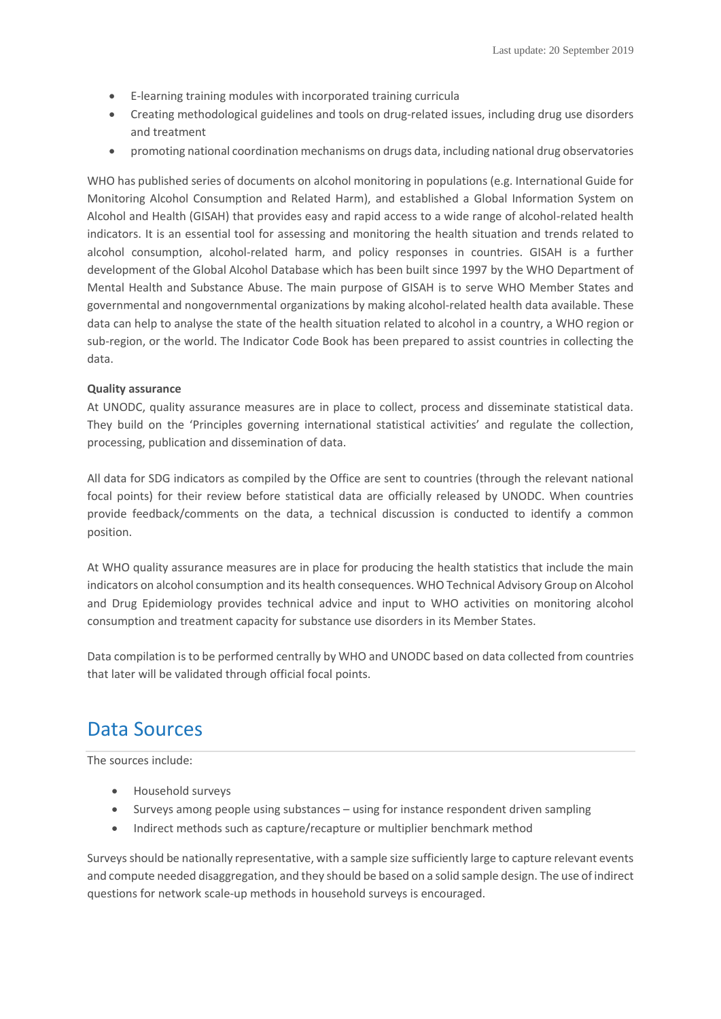- E-learning training modules with incorporated training curricula
- Creating methodological guidelines and tools on drug-related issues, including drug use disorders and treatment
- promoting national coordination mechanisms on drugs data, including national drug observatories

WHO has published series of documents on alcohol monitoring in populations (e.g. International Guide for Monitoring Alcohol Consumption and Related Harm), and established a [Global Information System on](https://www.who.int/substance_abuse/activities/gisah/en/)  [Alcohol and Health \(GISAH\)](https://www.who.int/substance_abuse/activities/gisah/en/) that provides easy and rapid access to a wide range of alcohol-related health indicators. It is an essential tool for assessing and monitoring the health situation and trends related to alcohol consumption, alcohol-related harm, and policy responses in countries. GISAH is a further development of the Global Alcohol Database which has been built since 1997 by the WHO Department of Mental Health and Substance Abuse. The main purpose of GISAH is to serve WHO Member States and governmental and nongovernmental organizations by making alcohol-related health data available. These data can help to analyse the state of the health situation related to alcohol in a country, a WHO region or sub-region, or the world. [The Indicator Code Book](https://www.who.int/substance_abuse/activities/gisah_indicatorbook.pdf?ua=1) has been prepared to assist countries in collecting the data.

### **Quality assurance**

At UNODC, quality assurance measures are in place to collect, process and disseminate statistical data. They build on the 'Principles governing international statistical activities' and regulate the collection, processing, publication and dissemination of data.

All data for SDG indicators as compiled by the Office are sent to countries (through the relevant national focal points) for their review before statistical data are officially released by UNODC. When countries provide feedback/comments on the data, a technical discussion is conducted to identify a common position.

At WHO quality assurance measures are in place for producing the health statistics that include the main indicators on alcohol consumption and its health consequences. WHO Technical Advisory Group on Alcohol and Drug Epidemiology provides technical advice and input to WHO activities on monitoring alcohol consumption and treatment capacity for substance use disorders in its Member States.

Data compilation is to be performed centrally by WHO and UNODC based on data collected from countries that later will be validated through official focal points.

## Data Sources

The sources include:

- Household surveys
- Surveys among people using substances using for instance respondent driven sampling
- Indirect methods such as capture/recapture or multiplier benchmark method

Surveys should be nationally representative, with a sample size sufficiently large to capture relevant events and compute needed disaggregation, and they should be based on a solid sample design. The use of indirect questions for network scale-up methods in household surveys is encouraged.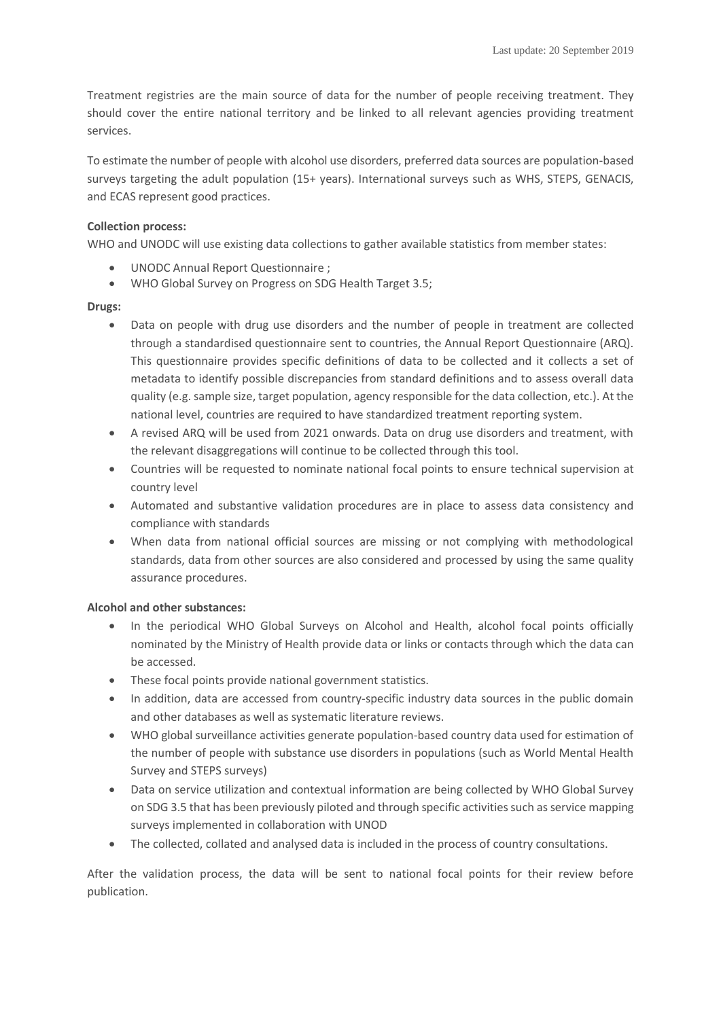Treatment registries are the main source of data for the number of people receiving treatment. They should cover the entire national territory and be linked to all relevant agencies providing treatment services.

To estimate the number of people with alcohol use disorders, preferred data sources are population-based surveys targeting the adult population (15+ years). International surveys such as WHS, STEPS, GENACIS, and ECAS represent good practices.

### **Collection process:**

WHO and UNODC will use existing data collections to gather available statistics from member states:

- UNODC Annual Report Questionnaire ;
- WHO Global Survey on Progress on SDG Health Target 3.5;

### **Drugs:**

- Data on people with drug use disorders and the number of people in treatment are collected through a standardised questionnaire sent to countries, the Annual Report Questionnaire (ARQ). This questionnaire provides specific definitions of data to be collected and it collects a set of metadata to identify possible discrepancies from standard definitions and to assess overall data quality (e.g. sample size, target population, agency responsible for the data collection, etc.). At the national level, countries are required to have standardized treatment reporting system.
- A revised ARQ will be used from 2021 onwards. Data on drug use disorders and treatment, with the relevant disaggregations will continue to be collected through this tool.
- Countries will be requested to nominate national focal points to ensure technical supervision at country level
- Automated and substantive validation procedures are in place to assess data consistency and compliance with standards
- When data from national official sources are missing or not complying with methodological standards, data from other sources are also considered and processed by using the same quality assurance procedures.

### **Alcohol and other substances:**

- In the periodical WHO Global Surveys on Alcohol and Health, alcohol focal points officially nominated by the Ministry of Health provide data or links or contacts through which the data can be accessed.
- These focal points provide national government statistics.
- In addition, data are accessed from country-specific industry data sources in the public domain and other databases as well as systematic literature reviews.
- WHO global surveillance activities generate population-based country data used for estimation of the number of people with substance use disorders in populations (such as World Mental Health Survey and STEPS surveys)
- Data on service utilization and contextual information are being collected by WHO Global Survey on SDG 3.5 that has been previously piloted and through specific activities such as service mapping surveys implemented in collaboration with UNOD
- The collected, collated and analysed data is included in the process of country consultations.

After the validation process, the data will be sent to national focal points for their review before publication.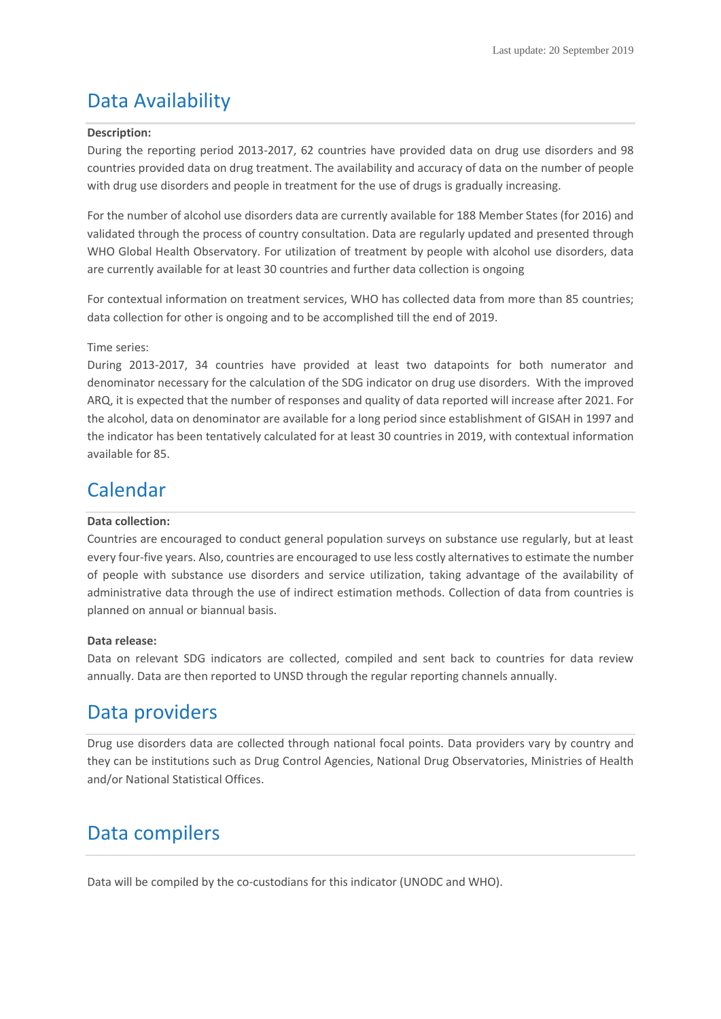# Data Availability

### **Description:**

During the reporting period 2013-2017, 62 countries have provided data on drug use disorders and 98 countries provided data on drug treatment. The availability and accuracy of data on the number of people with drug use disorders and people in treatment for the use of drugs is gradually increasing.

For the number of alcohol use disorders data are currently available for 188 Member States (for 2016) and validated through the process of country consultation. Data are regularly updated and presented through WHO Global Health Observatory. For utilization of treatment by people with alcohol use disorders, data are currently available for at least 30 countries and further data collection is ongoing

For contextual information on treatment services, WHO has collected data from more than 85 countries; data collection for other is ongoing and to be accomplished till the end of 2019.

### Time series:

During 2013-2017, 34 countries have provided at least two datapoints for both numerator and denominator necessary for the calculation of the SDG indicator on drug use disorders. With the improved ARQ, it is expected that the number of responses and quality of data reported will increase after 2021. For the alcohol, data on denominator are available for a long period since establishment of GISAH in 1997 and the indicator has been tentatively calculated for at least 30 countries in 2019, with contextual information available for 85.

### Calendar

### **Data collection:**

Countries are encouraged to conduct general population surveys on substance use regularly, but at least every four-five years. Also, countries are encouraged to use less costly alternatives to estimate the number of people with substance use disorders and service utilization, taking advantage of the availability of administrative data through the use of indirect estimation methods. Collection of data from countries is planned on annual or biannual basis.

### **Data release:**

Data on relevant SDG indicators are collected, compiled and sent back to countries for data review annually. Data are then reported to UNSD through the regular reporting channels annually.

## Data providers

Drug use disorders data are collected through national focal points. Data providers vary by country and they can be institutions such as Drug Control Agencies, National Drug Observatories, Ministries of Health and/or National Statistical Offices.

## Data compilers

Data will be compiled by the co-custodians for this indicator (UNODC and WHO).